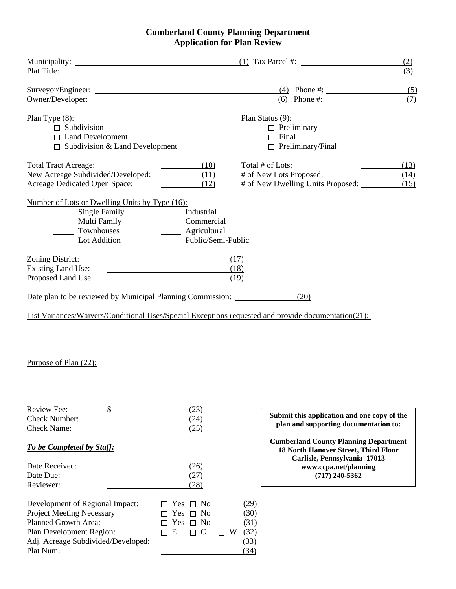### **Cumberland County Planning Department Application for Plan Review**

|                                                                                                               |                                                                             | $(1)$ Tax Parcel #:                                                                                 | (2)<br>(3)   |
|---------------------------------------------------------------------------------------------------------------|-----------------------------------------------------------------------------|-----------------------------------------------------------------------------------------------------|--------------|
| Owner/Developer:                                                                                              |                                                                             | Surveyor/Engineer: (4) Phone #:<br>(6) Phone #: $\frac{1}{2}$                                       | (5)<br>(7)   |
| Plan Type $(8)$ :<br>$\Box$ Subdivision<br>$\Box$ Land Development<br>$\Box$ Subdivision & Land Development   |                                                                             | Plan Status (9):<br>$\Box$ Preliminary<br>$\Box$ Final<br>$\Box$ Preliminary/Final                  |              |
| <b>Total Tract Acreage:</b><br>New Acreage Subdivided/Developed:<br>Acreage Dedicated Open Space:             | (10)<br>(11)<br>(12)                                                        | Total # of Lots:<br># of New Lots Proposed:<br># of New Dwelling Units Proposed: (15)               | (13)<br>(14) |
| Number of Lots or Dwelling Units by Type (16):<br>Single Family<br>Multi Family<br>Townhouses<br>Lot Addition | ______ Industrial<br>Commercial<br>_____ Agricultural<br>Public/Semi-Public |                                                                                                     |              |
| Zoning District:<br><b>Existing Land Use:</b><br>Proposed Land Use:                                           |                                                                             | (17)<br>(18)<br>(19)                                                                                |              |
| Date plan to be reviewed by Municipal Planning Commission:                                                    |                                                                             | (20)                                                                                                |              |
|                                                                                                               |                                                                             | List Variances/Waivers/Conditional Uses/Special Exceptions requested and provide documentation(21): |              |

### Purpose of Plan (22):

| Review Fee:   |  |
|---------------|--|
| Check Number: |  |
| Check Name:   |  |
|               |  |

# *To be Completed by Staff:*

| Date Received: |  |
|----------------|--|
| Date Due:      |  |
| Reviewer:      |  |

| Development of Regional Impact:    |          | $\Box$ Yes $\Box$ No |          | (29) |
|------------------------------------|----------|----------------------|----------|------|
| <b>Project Meeting Necessary</b>   |          | $\Box$ Yes $\Box$ No |          | (30) |
| Planned Growth Area:               |          | $\Box$ Yes $\Box$ No |          | (31) |
| <b>Plan Development Region:</b>    | $\Box$ E | $\Box$ C             | $\Box$ W | (32) |
| Adj. Acreage Subdivided/Developed: |          |                      |          | (33) |
| Plat Num:                          |          |                      |          | (34) |

 $\frac{R}{2}$  **Submit this application and one copy of the**  $\frac{R}{2}$ **plan and supporting documentation to:** 

> **Cumberland County Planning Department 18 North Hanover Street, Third Floor Carlisle, Pennsylvania 17013 www.ccpa.net/planning (717) 240-5362**